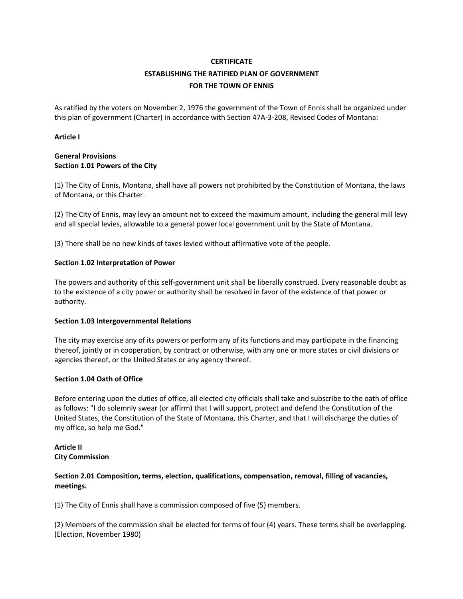### **CERTIFICATE**

# **ESTABLISHING THE RATIFIED PLAN OF GOVERNMENT FOR THE TOWN OF ENNIS**

As ratified by the voters on November 2, 1976 the government of the Town of Ennis shall be organized under this plan of government (Charter) in accordance with Section 47A-3-208, Revised Codes of Montana:

# **Article I**

# **General Provisions Section 1.01 Powers of the City**

(1) The City of Ennis, Montana, shall have all powers not prohibited by the Constitution of Montana, the laws of Montana, or this Charter.

(2) The City of Ennis, may levy an amount not to exceed the maximum amount, including the general mill levy and all special levies, allowable to a general power local government unit by the State of Montana.

(3) There shall be no new kinds of taxes levied without affirmative vote of the people.

# **Section 1.02 Interpretation of Power**

The powers and authority of this self-government unit shall be liberally construed. Every reasonable doubt as to the existence of a city power or authority shall be resolved in favor of the existence of that power or authority.

# **Section 1.03 Intergovernmental Relations**

The city may exercise any of its powers or perform any of its functions and may participate in the financing thereof, jointly or in cooperation, by contract or otherwise, with any one or more states or civil divisions or agencies thereof, or the United States or any agency thereof.

### **Section 1.04 Oath of Office**

Before entering upon the duties of office, all elected city officials shall take and subscribe to the oath of office as follows: "I do solemnly swear (or affirm) that I will support, protect and defend the Constitution of the United States, the Constitution of the State of Montana, this Charter, and that I will discharge the duties of my office, so help me God."

# **Article II City Commission**

# **Section 2.01 Composition, terms, election, qualifications, compensation, removal, filling of vacancies, meetings.**

(1) The City of Ennis shall have a commission composed of five (5) members.

(2) Members of the commission shall be elected for terms of four (4) years. These terms shall be overlapping. (Election, November 1980)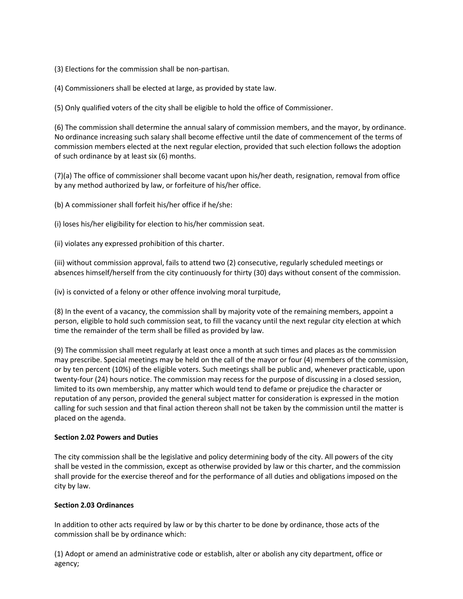(3) Elections for the commission shall be non-partisan.

(4) Commissioners shall be elected at large, as provided by state law.

(5) Only qualified voters of the city shall be eligible to hold the office of Commissioner.

(6) The commission shall determine the annual salary of commission members, and the mayor, by ordinance. No ordinance increasing such salary shall become effective until the date of commencement of the terms of commission members elected at the next regular election, provided that such election follows the adoption of such ordinance by at least six (6) months.

(7)(a) The office of commissioner shall become vacant upon his/her death, resignation, removal from office by any method authorized by law, or forfeiture of his/her office.

(b) A commissioner shall forfeit his/her office if he/she:

(i) loses his/her eligibility for election to his/her commission seat.

(ii) violates any expressed prohibition of this charter.

(iii) without commission approval, fails to attend two (2) consecutive, regularly scheduled meetings or absences himself/herself from the city continuously for thirty (30) days without consent of the commission.

(iv) is convicted of a felony or other offence involving moral turpitude,

(8) In the event of a vacancy, the commission shall by majority vote of the remaining members, appoint a person, eligible to hold such commission seat, to fill the vacancy until the next regular city election at which time the remainder of the term shall be filled as provided by law.

(9) The commission shall meet regularly at least once a month at such times and places as the commission may prescribe. Special meetings may be held on the call of the mayor or four (4) members of the commission, or by ten percent (10%) of the eligible voters. Such meetings shall be public and, whenever practicable, upon twenty-four (24) hours notice. The commission may recess for the purpose of discussing in a closed session, limited to its own membership, any matter which would tend to defame or prejudice the character or reputation of any person, provided the general subject matter for consideration is expressed in the motion calling for such session and that final action thereon shall not be taken by the commission until the matter is placed on the agenda.

### **Section 2.02 Powers and Duties**

The city commission shall be the legislative and policy determining body of the city. All powers of the city shall be vested in the commission, except as otherwise provided by law or this charter, and the commission shall provide for the exercise thereof and for the performance of all duties and obligations imposed on the city by law.

### **Section 2.03 Ordinances**

In addition to other acts required by law or by this charter to be done by ordinance, those acts of the commission shall be by ordinance which:

(1) Adopt or amend an administrative code or establish, alter or abolish any city department, office or agency;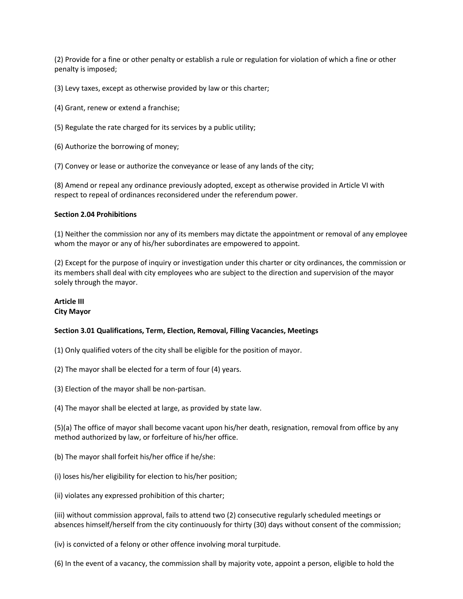(2) Provide for a fine or other penalty or establish a rule or regulation for violation of which a fine or other penalty is imposed;

(3) Levy taxes, except as otherwise provided by law or this charter;

- (4) Grant, renew or extend a franchise;
- (5) Regulate the rate charged for its services by a public utility;
- (6) Authorize the borrowing of money;

(7) Convey or lease or authorize the conveyance or lease of any lands of the city;

(8) Amend or repeal any ordinance previously adopted, except as otherwise provided in Article VI with respect to repeal of ordinances reconsidered under the referendum power.

### **Section 2.04 Prohibitions**

(1) Neither the commission nor any of its members may dictate the appointment or removal of any employee whom the mayor or any of his/her subordinates are empowered to appoint.

(2) Except for the purpose of inquiry or investigation under this charter or city ordinances, the commission or its members shall deal with city employees who are subject to the direction and supervision of the mayor solely through the mayor.

# **Article III City Mayor**

### **Section 3.01 Qualifications, Term, Election, Removal, Filling Vacancies, Meetings**

- (1) Only qualified voters of the city shall be eligible for the position of mayor.
- (2) The mayor shall be elected for a term of four (4) years.
- (3) Election of the mayor shall be non-partisan.
- (4) The mayor shall be elected at large, as provided by state law.

(5)(a) The office of mayor shall become vacant upon his/her death, resignation, removal from office by any method authorized by law, or forfeiture of his/her office.

- (b) The mayor shall forfeit his/her office if he/she:
- (i) loses his/her eligibility for election to his/her position;
- (ii) violates any expressed prohibition of this charter;

(iii) without commission approval, fails to attend two (2) consecutive regularly scheduled meetings or absences himself/herself from the city continuously for thirty (30) days without consent of the commission;

- (iv) is convicted of a felony or other offence involving moral turpitude.
- (6) In the event of a vacancy, the commission shall by majority vote, appoint a person, eligible to hold the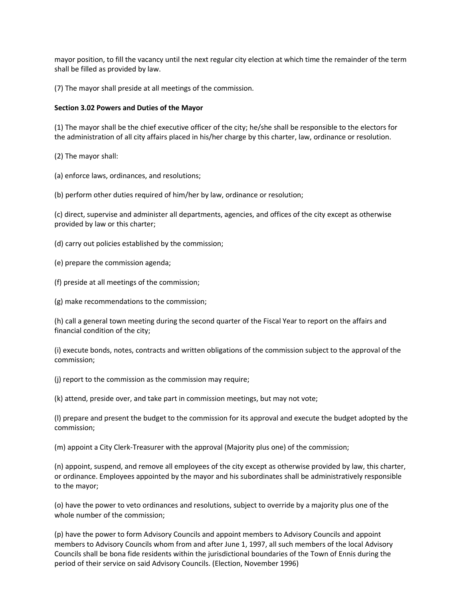mayor position, to fill the vacancy until the next regular city election at which time the remainder of the term shall be filled as provided by law.

(7) The mayor shall preside at all meetings of the commission.

#### **Section 3.02 Powers and Duties of the Mayor**

(1) The mayor shall be the chief executive officer of the city; he/she shall be responsible to the electors for the administration of all city affairs placed in his/her charge by this charter, law, ordinance or resolution.

(2) The mayor shall:

- (a) enforce laws, ordinances, and resolutions;
- (b) perform other duties required of him/her by law, ordinance or resolution;

(c) direct, supervise and administer all departments, agencies, and offices of the city except as otherwise provided by law or this charter;

- (d) carry out policies established by the commission;
- (e) prepare the commission agenda;
- (f) preside at all meetings of the commission;
- (g) make recommendations to the commission;

(h) call a general town meeting during the second quarter of the Fiscal Year to report on the affairs and financial condition of the city;

(i) execute bonds, notes, contracts and written obligations of the commission subject to the approval of the commission;

(j) report to the commission as the commission may require;

(k) attend, preside over, and take part in commission meetings, but may not vote;

(l) prepare and present the budget to the commission for its approval and execute the budget adopted by the commission;

(m) appoint a City Clerk-Treasurer with the approval (Majority plus one) of the commission;

(n) appoint, suspend, and remove all employees of the city except as otherwise provided by law, this charter, or ordinance. Employees appointed by the mayor and his subordinates shall be administratively responsible to the mayor;

(o) have the power to veto ordinances and resolutions, subject to override by a majority plus one of the whole number of the commission;

(p) have the power to form Advisory Councils and appoint members to Advisory Councils and appoint members to Advisory Councils whom from and after June 1, 1997, all such members of the local Advisory Councils shall be bona fide residents within the jurisdictional boundaries of the Town of Ennis during the period of their service on said Advisory Councils. (Election, November 1996)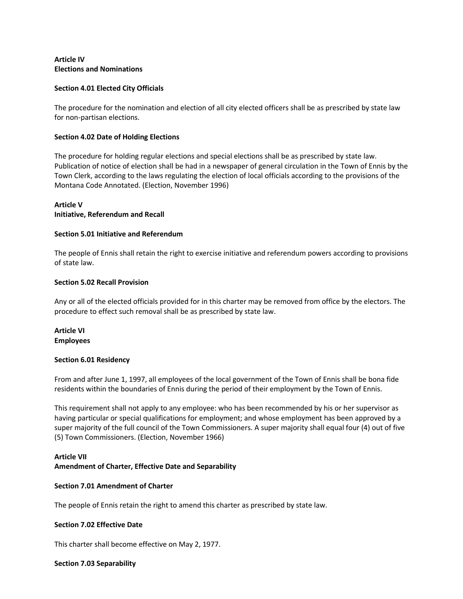# **Article IV Elections and Nominations**

### **Section 4.01 Elected City Officials**

The procedure for the nomination and election of all city elected officers shall be as prescribed by state law for non-partisan elections.

# **Section 4.02 Date of Holding Elections**

The procedure for holding regular elections and special elections shall be as prescribed by state law. Publication of notice of election shall be had in a newspaper of general circulation in the Town of Ennis by the Town Clerk, according to the laws regulating the election of local officials according to the provisions of the Montana Code Annotated. (Election, November 1996)

# **Article V**

# **Initiative, Referendum and Recall**

# **Section 5.01 Initiative and Referendum**

The people of Ennis shall retain the right to exercise initiative and referendum powers according to provisions of state law.

### **Section 5.02 Recall Provision**

Any or all of the elected officials provided for in this charter may be removed from office by the electors. The procedure to effect such removal shall be as prescribed by state law.

**Article VI Employees** 

### **Section 6.01 Residency**

From and after June 1, 1997, all employees of the local government of the Town of Ennis shall be bona fide residents within the boundaries of Ennis during the period of their employment by the Town of Ennis.

This requirement shall not apply to any employee: who has been recommended by his or her supervisor as having particular or special qualifications for employment; and whose employment has been approved by a super majority of the full council of the Town Commissioners. A super majority shall equal four (4) out of five (5) Town Commissioners. (Election, November 1966)

# **Article VII Amendment of Charter, Effective Date and Separability**

# **Section 7.01 Amendment of Charter**

The people of Ennis retain the right to amend this charter as prescribed by state law.

### **Section 7.02 Effective Date**

This charter shall become effective on May 2, 1977.

**Section 7.03 Separability**